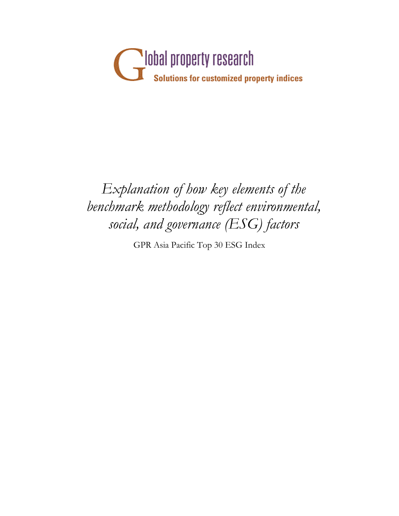

## *Explanation of how key elements of the benchmark methodology reflect environmental, social, and governance (ESG) factors*

GPR Asia Pacific Top 30 ESG Index